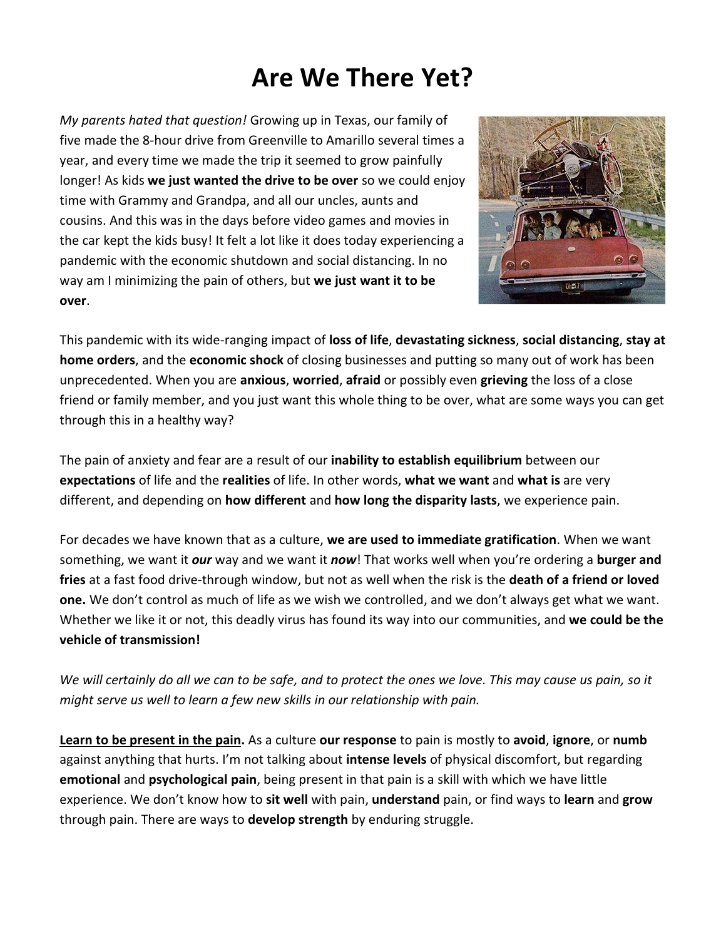## **Are We There Yet?**

*My parents hated that question!* Growing up in Texas, our family of five made the 8-hour drive from Greenville to Amarillo several times a year, and every time we made the trip it seemed to grow painfully longer! As kids **we just wanted the drive to be over** so we could enjoy time with Grammy and Grandpa, and all our uncles, aunts and cousins. And this was in the days before video games and movies in the car kept the kids busy! It felt a lot like it does today experiencing a pandemic with the economic shutdown and social distancing. In no way am I minimizing the pain of others, but **we just want it to be over**.



This pandemic with its wide-ranging impact of **loss of life**, **devastating sickness**, **social distancing**, **stay at home orders**, and the **economic shock** of closing businesses and putting so many out of work has been unprecedented. When you are **anxious**, **worried**, **afraid** or possibly even **grieving** the loss of a close friend or family member, and you just want this whole thing to be over, what are some ways you can get through this in a healthy way?

The pain of anxiety and fear are a result of our **inability to establish equilibrium** between our **expectations** of life and the **realities** of life. In other words, **what we want** and **what is** are very different, and depending on **how different** and **how long the disparity lasts**, we experience pain.

For decades we have known that as a culture, **we are used to immediate gratification**. When we want something, we want it *our* way and we want it *now*! That works well when you're ordering a **burger and fries** at a fast food drive-through window, but not as well when the risk is the **death of a friend or loved one.** We don't control as much of life as we wish we controlled, and we don't always get what we want. Whether we like it or not, this deadly virus has found its way into our communities, and **we could be the vehicle of transmission!**

*We will certainly do all we can to be safe, and to protect the ones we love. This may cause us pain, so it might serve us well to learn a few new skills in our relationship with pain.*

**Learn to be present in the pain.** As a culture **our response** to pain is mostly to **avoid**, **ignore**, or **numb** against anything that hurts. I'm not talking about **intense levels** of physical discomfort, but regarding **emotional** and **psychological pain**, being present in that pain is a skill with which we have little experience. We don't know how to **sit well** with pain, **understand** pain, or find ways to **learn** and **grow** through pain. There are ways to **develop strength** by enduring struggle.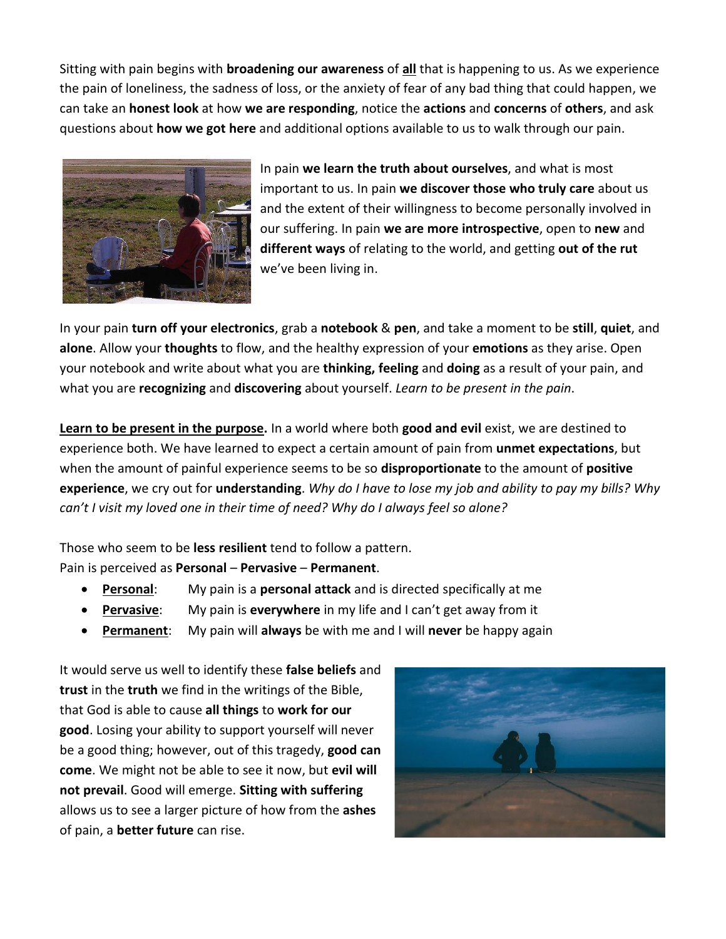Sitting with pain begins with **broadening our awareness** of **all** that is happening to us. As we experience the pain of loneliness, the sadness of loss, or the anxiety of fear of any bad thing that could happen, we can take an **honest look** at how **we are responding**, notice the **actions** and **concerns** of **others**, and ask questions about **how we got here** and additional options available to us to walk through our pain.



In pain **we learn the truth about ourselves**, and what is most important to us. In pain **we discover those who truly care** about us and the extent of their willingness to become personally involved in our suffering. In pain **we are more introspective**, open to **new** and **different ways** of relating to the world, and getting **out of the rut** we've been living in.

In your pain **turn off your electronics**, grab a **notebook** & **pen**, and take a moment to be **still**, **quiet**, and **alone**. Allow your **thoughts** to flow, and the healthy expression of your **emotions** as they arise. Open your notebook and write about what you are **thinking, feeling** and **doing** as a result of your pain, and what you are **recognizing** and **discovering** about yourself. *Learn to be present in the pain*.

**Learn to be present in the purpose.** In a world where both **good and evil** exist, we are destined to experience both. We have learned to expect a certain amount of pain from **unmet expectations**, but when the amount of painful experience seems to be so **disproportionate** to the amount of **positive experience**, we cry out for **understanding**. *Why do I have to lose my job and ability to pay my bills? Why can't I visit my loved one in their time of need? Why do I always feel so alone?*

Those who seem to be **less resilient** tend to follow a pattern. Pain is perceived as **Personal** – **Pervasive** – **Permanent**.

- **Personal**: My pain is a **personal attack** and is directed specifically at me
- **Pervasive**: My pain is **everywhere** in my life and I can't get away from it
- **Permanent**: My pain will **always** be with me and I will **never** be happy again

It would serve us well to identify these **false beliefs** and **trust** in the **truth** we find in the writings of the Bible, that God is able to cause **all things** to **work for our good**. Losing your ability to support yourself will never be a good thing; however, out of this tragedy, **good can come**. We might not be able to see it now, but **evil will not prevail**. Good will emerge. **Sitting with suffering** allows us to see a larger picture of how from the **ashes** of pain, a **better future** can rise.